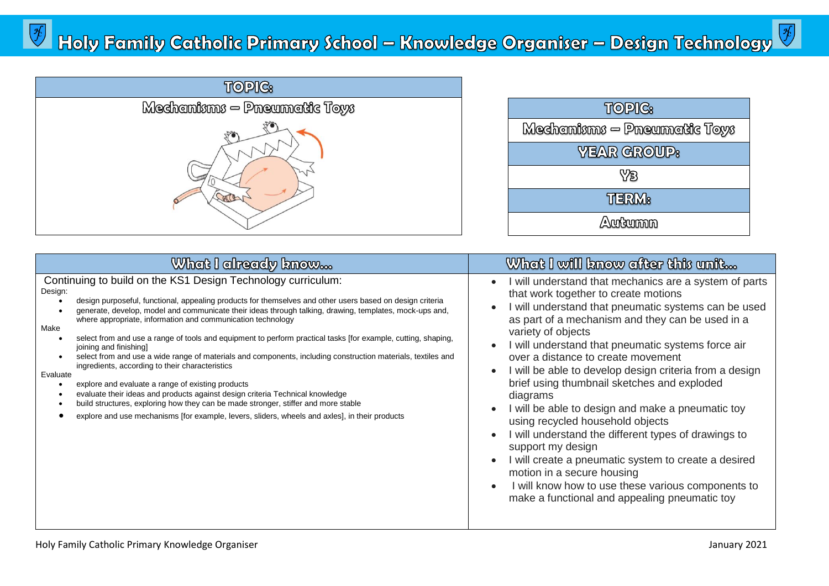| <b>TOPIC:</b>                  |
|--------------------------------|
| $M$ edhamisms — Pneumatic Toys |
|                                |

| TOPIC:                           |
|----------------------------------|
| $M$ echanisms $-$ Pneumatic Toys |
| <b>YEAR GROUP:</b>               |
| YB                               |
| <b>THERM</b>                     |
| Autumn                           |

| What I already know                                                                                                                                                                                                                                                                                                                                                                                                                                                                                                                                                                                                                                                                                                                                                                                                                                                                                                                                                                                                            | What I will know after this unit                                                                                                                                                                                                                                                                                                                                                                                                                                                                                                                                                                                                                                                                                                                                                                                                                                           |
|--------------------------------------------------------------------------------------------------------------------------------------------------------------------------------------------------------------------------------------------------------------------------------------------------------------------------------------------------------------------------------------------------------------------------------------------------------------------------------------------------------------------------------------------------------------------------------------------------------------------------------------------------------------------------------------------------------------------------------------------------------------------------------------------------------------------------------------------------------------------------------------------------------------------------------------------------------------------------------------------------------------------------------|----------------------------------------------------------------------------------------------------------------------------------------------------------------------------------------------------------------------------------------------------------------------------------------------------------------------------------------------------------------------------------------------------------------------------------------------------------------------------------------------------------------------------------------------------------------------------------------------------------------------------------------------------------------------------------------------------------------------------------------------------------------------------------------------------------------------------------------------------------------------------|
| Continuing to build on the KS1 Design Technology curriculum:<br>Design:<br>design purposeful, functional, appealing products for themselves and other users based on design criteria<br>generate, develop, model and communicate their ideas through talking, drawing, templates, mock-ups and,<br>where appropriate, information and communication technology<br>Make<br>select from and use a range of tools and equipment to perform practical tasks [for example, cutting, shaping,<br>joining and finishing]<br>select from and use a wide range of materials and components, including construction materials, textiles and<br>ingredients, according to their characteristics<br>Evaluate<br>explore and evaluate a range of existing products<br>evaluate their ideas and products against design criteria Technical knowledge<br>build structures, exploring how they can be made stronger, stiffer and more stable<br>explore and use mechanisms [for example, levers, sliders, wheels and axles], in their products | will understand that mechanics are a system of parts<br>$\bullet$<br>that work together to create motions<br>will understand that pneumatic systems can be used<br>as part of a mechanism and they can be used in a<br>variety of objects<br>will understand that pneumatic systems force air<br>over a distance to create movement<br>will be able to develop design criteria from a design<br>$\bullet$<br>brief using thumbnail sketches and exploded<br>diagrams<br>I will be able to design and make a pneumatic toy<br>using recycled household objects<br>will understand the different types of drawings to<br>$\bullet$<br>support my design<br>will create a pneumatic system to create a desired<br>$\bullet$<br>motion in a secure housing<br>I will know how to use these various components to<br>$\bullet$<br>make a functional and appealing pneumatic toy |